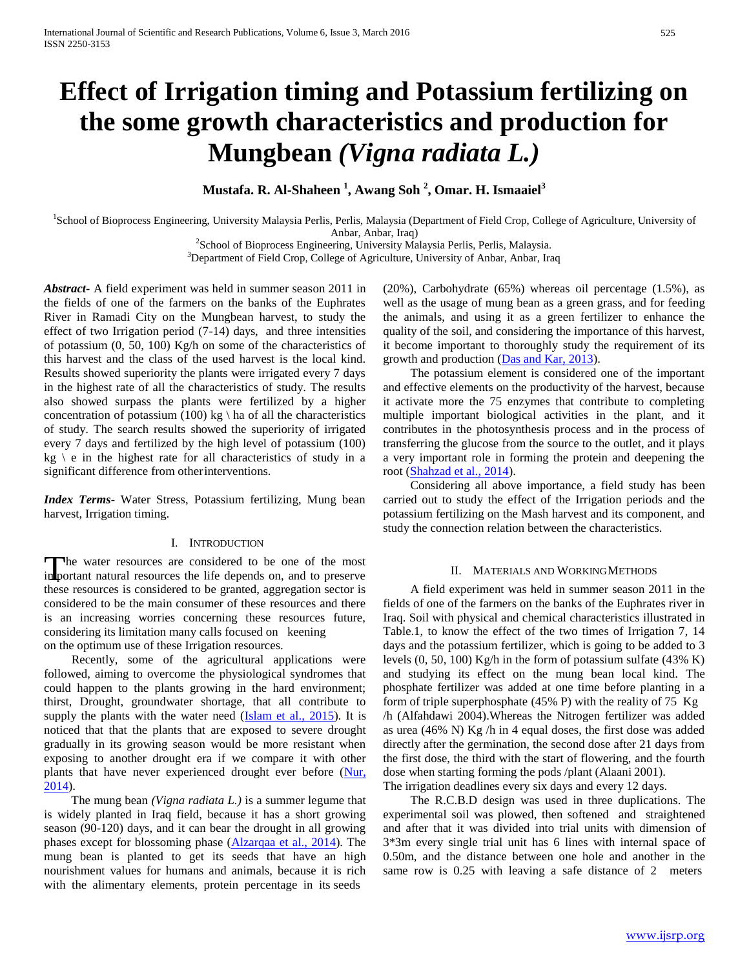# **Effect of Irrigation timing and Potassium fertilizing on the some growth characteristics and production for Mungbean** *(Vigna radiata L.)*

## **Mustafa. R. Al-Shaheen <sup>1</sup> , Awang Soh <sup>2</sup> , Omar. H. Ismaaiel<sup>3</sup>**

<sup>1</sup>School of Bioprocess Engineering, University Malaysia Perlis, Perlis, Malaysia (Department of Field Crop, College of Agriculture, University of Anbar, Anbar, Iraq)

<sup>2</sup>School of Bioprocess Engineering, University Malaysia Perlis, Perlis, Malaysia.

<sup>3</sup>Department of Field Crop, College of Agriculture, University of Anbar, Anbar, Iraq

*Abstract***-** A field experiment was held in summer season 2011 in the fields of one of the farmers on the banks of the Euphrates River in Ramadi City on the Mungbean harvest, to study the effect of two Irrigation period (7-14) days, and three intensities of potassium (0, 50, 100) Kg/h on some of the characteristics of this harvest and the class of the used harvest is the local kind. Results showed superiority the plants were irrigated every 7 days in the highest rate of all the characteristics of study. The results also showed surpass the plants were fertilized by a higher concentration of potassium (100) kg \ ha of all the characteristics of study. The search results showed the superiority of irrigated every 7 days and fertilized by the high level of potassium (100)  $kg \, \backslash \, e$  in the highest rate for all characteristics of study in a significant difference from otherinterventions.

*Index Terms*- Water Stress, Potassium fertilizing, Mung bean harvest, Irrigation timing.

## I. INTRODUCTION

The water resources are considered to be one of the most portant natural resources the life depends on, and to preserve The water resources are considered to be one of the most these resources is considered to be granted, aggregation sector is considered to be the main consumer of these resources and there is an increasing worries concerning these resources future, considering its limitation many calls focused on keening on the optimum use of these Irrigation resources.

Recently, some of the agricultural applications were followed, aiming to overcome the physiological syndromes that could happen to the plants growing in the hard environment; thirst, Drought, groundwater shortage, that all contribute to supply the plants with the water need (Islam et al., 2015). It is noticed that that the plants that are exposed to severe drought gradually in its growing season would be more resistant when exposing to another drought era if we compare it with other plants that have never experienced drought ever before (Nur, 2014).

The mung bean *(Vigna radiata L.)* is a summer legume that is widely planted in Iraq field, because it has a short growing season (90-120) days, and it can bear the drought in all growing phases except for blossoming phase (Alzarqaa et al., 2014). The mung bean is planted to get its seeds that have an high nourishment values for humans and animals, because it is rich with the alimentary elements, protein percentage in its seeds

(20%), Carbohydrate (65%) whereas oil percentage (1.5%), as well as the usage of mung bean as a green grass, and for feeding the animals, and using it as a green fertilizer to enhance the quality of the soil, and considering the importance of this harvest, it become important to thoroughly study the requirement of its growth and production (Das and Kar, 2013).

The potassium element is considered one of the important and effective elements on the productivity of the harvest, because it activate more the 75 enzymes that contribute to completing multiple important biological activities in the plant, and it contributes in the photosynthesis process and in the process of transferring the glucose from the source to the outlet, and it plays a very important role in forming the protein and deepening the root (Shahzad et al., 2014).

Considering all above importance, a field study has been carried out to study the effect of the Irrigation periods and the potassium fertilizing on the Mash harvest and its component, and study the connection relation between the characteristics.

#### II. MATERIALS AND WORKINGMETHODS

A field experiment was held in summer season 2011 in the fields of one of the farmers on the banks of the Euphrates river in Iraq. Soil with physical and chemical characteristics illustrated in Table.1, to know the effect of the two times of Irrigation 7, 14 days and the potassium fertilizer, which is going to be added to 3 levels (0, 50, 100) Kg/h in the form of potassium sulfate (43% K) and studying its effect on the mung bean local kind. The phosphate fertilizer was added at one time before planting in a form of triple superphosphate (45% P) with the reality of 75 Kg /h (Alfahdawi 2004).Whereas the Nitrogen fertilizer was added as urea (46% N) Kg /h in 4 equal doses, the first dose was added directly after the germination, the second dose after 21 days from the first dose, the third with the start of flowering, and the fourth dose when starting forming the pods /plant (Alaani 2001). The irrigation deadlines every six days and every 12 days.

The R.C.B.D design was used in three duplications. The experimental soil was plowed, then softened and straightened and after that it was divided into trial units with dimension of 3\*3m every single trial unit has 6 lines with internal space of 0.50m, and the distance between one hole and another in the same row is 0.25 with leaving a safe distance of 2 meters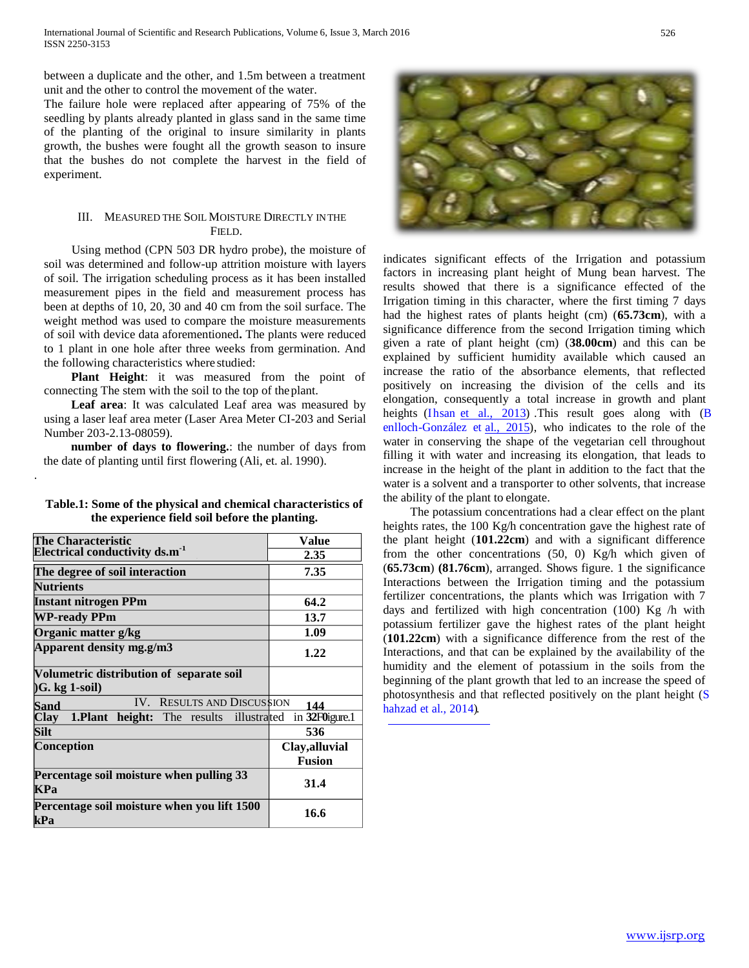between a duplicate and the other, and 1.5m between a treatment unit and the other to control the movement of the water.

The failure hole were replaced after appearing of 75% of the seedling by plants already planted in glass sand in the same time of the planting of the original to insure similarity in plants growth, the bushes were fought all the growth season to insure that the bushes do not complete the harvest in the field of experiment.

## III. MEASURED THE SOIL MOISTURE DIRECTLY INTHE FIELD.

Using method (CPN 503 DR hydro probe), the moisture of soil was determined and follow-up attrition moisture with layers of soil. The irrigation scheduling process as it has been installed measurement pipes in the field and measurement process has been at depths of 10, 20, 30 and 40 cm from the soil surface. The weight method was used to compare the moisture measurements of soil with device data aforementioned**.** The plants were reduced to 1 plant in one hole after three weeks from germination. And the following characteristics where studied:

**Plant Height**: it was measured from the point of connecting The stem with the soil to the top of theplant.

**Leaf area**: It was calculated Leaf area was measured by using a laser leaf area meter (Laser Area Meter CI-203 and Serial Number 203-2.13-08059).

**number of days to flowering.**: the number of days from the date of planting until first flowering (Ali, et. al. 1990).

.

| Table.1: Some of the physical and chemical characteristics of |  |  |
|---------------------------------------------------------------|--|--|
| the experience field soil before the planting.                |  |  |

| The Characteristic                                           | Value          |  |
|--------------------------------------------------------------|----------------|--|
| Electrical conductivity ds.m <sup>-1</sup>                   | 2.35           |  |
| The degree of soil interaction                               | 7.35           |  |
| <b>Nutrients</b>                                             |                |  |
| Instant nitrogen PPm                                         | 64.2           |  |
| <b>WP-ready PPm</b>                                          | 13.7           |  |
| Organic matter g/kg                                          | 1.09           |  |
| Apparent density mg.g/m3                                     | 1.22           |  |
| Volumetric distribution of separate soil<br>$(G. kg 1-soil)$ |                |  |
| IV. RESULTS AND DISCUSSION<br>Sand                           | 144            |  |
| Clay 1.Plant height: The results illustrated                 | in 32FOigure.1 |  |
| <b>Silt</b>                                                  | 536            |  |
| Conception                                                   | Clay, alluvial |  |
|                                                              | <b>Fusion</b>  |  |
| Percentage soil moisture when pulling 33<br><b>KPa</b>       | 31.4           |  |
| Percentage soil moisture when you lift 1500<br>kPa           | 16.6           |  |



indicates significant effects of the Irrigation and potassium factors in increasing plant height of Mung bean harvest. The results showed that there is a significance effected of the Irrigation timing in this character, where the first timing 7 days had the highest rates of plants height (cm) (**65.73cm**), with a significance difference from the second Irrigation timing which given a rate of plant height (cm) (**38.00cm**) and this can be explained by sufficient humidity available which caused an increase the ratio of the absorbance elements, that reflected positively on increasing the division of the cells and its elongation, consequently a total increase in growth and plant heights (Ihsan et al., 2013) This result goes along with (B enlloch-González et al., 2015), who indicates to the role of the water in conserving the shape of the vegetarian cell throughout filling it with water and increasing its elongation, that leads to increase in the height of the plant in addition to the fact that the water is a solvent and a transporter to other solvents, that increase the ability of the plant to elongate.

The potassium concentrations had a clear effect on the plant heights rates, the 100 Kg/h concentration gave the highest rate of the plant height (**101.22cm**) and with a significant difference from the other concentrations (50, 0) Kg/h which given of (**65.73cm**) **(81.76cm**), arranged. Shows figure. 1 the significance Interactions between the Irrigation timing and the potassium fertilizer concentrations, the plants which was Irrigation with 7 days and fertilized with high concentration (100) Kg /h with potassium fertilizer gave the highest rates of the plant height (**101.22cm**) with a significance difference from the rest of the Interactions, and that can be explained by the availability of the humidity and the element of potassium in the soils from the beginning of the plant growth that led to an increase the speed of photosynthesis and that reflected positively on the plant height (S hahzad et al., 2014).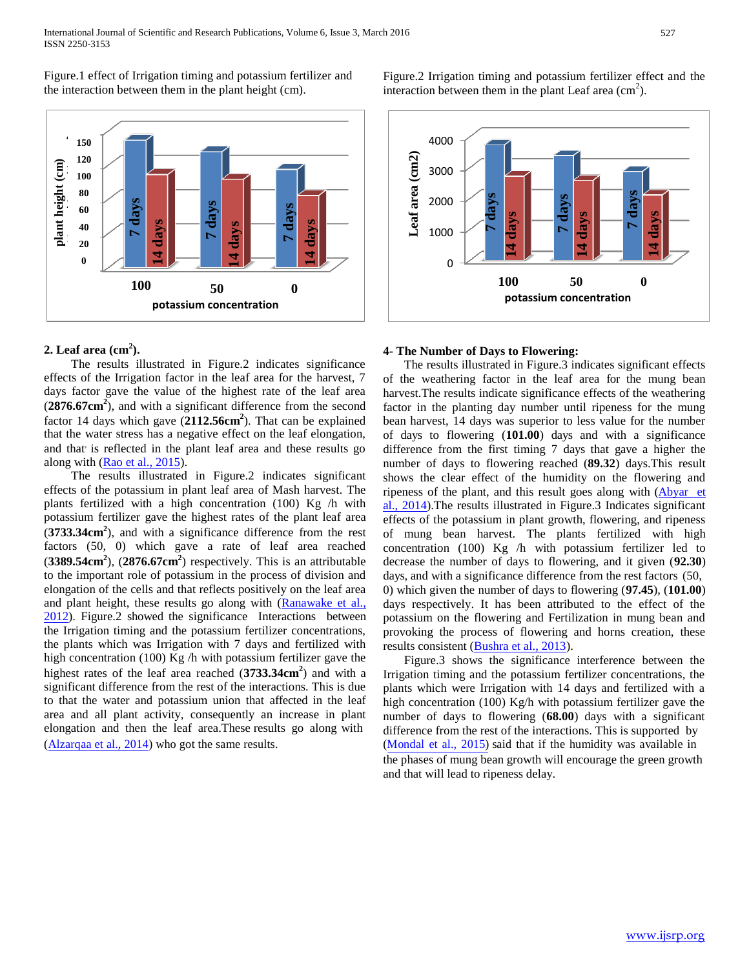Figure.1 effect of Irrigation timing and potassium fertilizer and the interaction between them in the plant height (cm).



## **2. Leaf area (cm<sup>2</sup> ).**

The results illustrated in Figure.2 indicates significance effects of the Irrigation factor in the leaf area for the harvest, 7 days factor gave the value of the highest rate of the leaf area (**2876.67cm<sup>2</sup>** ), and with a significant difference from the second factor 14 days which gave (**2112.56cm<sup>2</sup>** ). That can be explained that the water stress has a negative effect on the leaf elongation, and that is reflected in the plant leaf area and these results go along with (Rao et al., 2015).

The results illustrated in Figure.2 indicates significant effects of the potassium in plant leaf area of Mash harvest. The plants fertilized with a high concentration (100) Kg /h with potassium fertilizer gave the highest rates of the plant leaf area (**3733.34cm<sup>2</sup>** ), and with a significance difference from the rest factors (50, 0) which gave a rate of leaf area reached (**3389.54cm<sup>2</sup>** ), (**2876.67cm<sup>2</sup>** ) respectively. This is an attributable to the important role of potassium in the process of division and elongation of the cells and that reflects positively on the leaf area and plant height, these results go along with (Ranawake et al., 2012). Figure.2 showed the significance Interactions between the Irrigation timing and the potassium fertilizer concentrations, the plants which was Irrigation with 7 days and fertilized with high concentration (100) Kg /h with potassium fertilizer gave the highest rates of the leaf area reached (**3733.34cm<sup>2</sup>** ) and with a significant difference from the rest of the interactions. This is due to that the water and potassium union that affected in the leaf area and all plant activity, consequently an increase in plant elongation and then the leaf area.These results go along with

Figure.2 Irrigation timing and potassium fertilizer effect and the interaction between them in the plant Leaf area  $\text{cm}^2$ ).



# **4- The Number of Days to Flowering: 0**

The results illustrated in Figure.3 indicates significant effects of the weathering factor in the leaf area for the mung bean harvest.The results indicate significance effects of the weathering factor in the planting day number until ripeness for the mung bean harvest, 14 days was superior to less value for the number of days to flowering (**101.00**) days and with a significance difference from the first timing 7 days that gave a higher the number of days to flowering reached (**89.32**) days.This result shows the clear effect of the humidity on the flowering and ripeness of the plant, and this result goes along with (Abyar et al., 2014).The results illustrated in Figure.3 Indicates significant effects of the potassium in plant growth, flowering, and ripeness of mung bean harvest. The plants fertilized with high concentration (100) Kg /h with potassium fertilizer led to decrease the number of days to flowering, and it given (**92.30**) days, and with a significance difference from the rest factors (50, 0) which given the number of days to flowering (**97.45**), (**101.00**) days respectively. It has been attributed to the effect of the potassium on the flowering and Fertilization in mung bean and provoking the process of flowering and horns creation, these results consistent (Bushra et al., 2013).

Figure.3 shows the significance interference between the Irrigation timing and the potassium fertilizer concentrations, the plants which were Irrigation with 14 days and fertilized with a high concentration (100) Kg/h with potassium fertilizer gave the number of days to flowering (**68.00**) days with a significant difference from the rest of the interactions. This is supported by (Alzarqaa et al., 2014) who got the same results. (*Mondal et al., 2015*) said that if the humidity was available in the phases of mung bean growth will encourage the green growth and that will lead to ripeness delay.